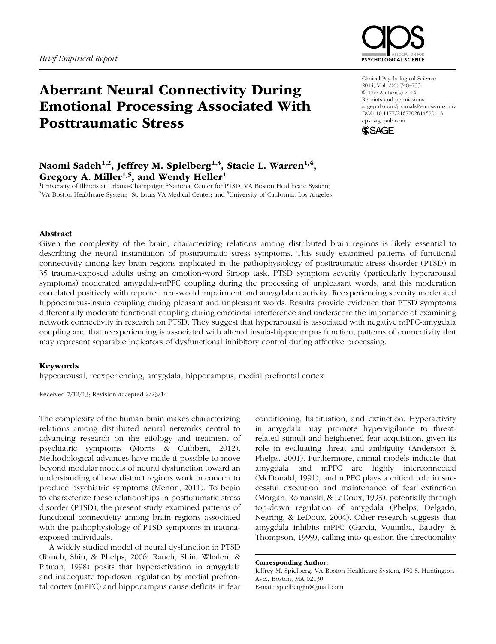

# Aberrant Neural Connectivity During Emotional Processing Associated With Posttraumatic Stress

# Naomi Sadeh<sup>1,2</sup>, Jeffrey M. Spielberg<sup>1,3</sup>, Stacie L. Warren<sup>1,4</sup>, Gregory A. Miller<sup>1,5</sup>, and Wendy Heller<sup>1</sup>

<sup>1</sup>University of Illinois at Urbana-Champaign; <sup>2</sup>National Center for PTSD, VA Boston Healthcare System;<br><sup>3</sup>VA Boston Healthcare System: <sup>4</sup>St Louis VA Medical Center: and <sup>5</sup>University of California. Los Angeles VA Boston Healthcare System; <sup>4</sup>St. Louis VA Medical Center; and <sup>5</sup>University of California, Los Angeles

Clinical Psychological Science 2014, Vol. 2(6) 748–755 © The Author(s) 2014 Reprints and permissions: sagepub.com/journalsPermissions.nav DOI: 10.1177/2167702614530113 cpx.sagepub.com



### Abstract

Given the complexity of the brain, characterizing relations among distributed brain regions is likely essential to describing the neural instantiation of posttraumatic stress symptoms. This study examined patterns of functional connectivity among key brain regions implicated in the pathophysiology of posttraumatic stress disorder (PTSD) in 35 trauma-exposed adults using an emotion-word Stroop task. PTSD symptom severity (particularly hyperarousal symptoms) moderated amygdala-mPFC coupling during the processing of unpleasant words, and this moderation correlated positively with reported real-world impairment and amygdala reactivity. Reexperiencing severity moderated hippocampus-insula coupling during pleasant and unpleasant words. Results provide evidence that PTSD symptoms differentially moderate functional coupling during emotional interference and underscore the importance of examining network connectivity in research on PTSD. They suggest that hyperarousal is associated with negative mPFC-amygdala coupling and that reexperiencing is associated with altered insula-hippocampus function, patterns of connectivity that may represent separable indicators of dysfunctional inhibitory control during affective processing.

### Keywords

hyperarousal, reexperiencing, amygdala, hippocampus, medial prefrontal cortex

Received 7/12/13; Revision accepted 2/23/14

The complexity of the human brain makes characterizing relations among distributed neural networks central to advancing research on the etiology and treatment of psychiatric symptoms (Morris & Cuthbert, 2012). Methodological advances have made it possible to move beyond modular models of neural dysfunction toward an understanding of how distinct regions work in concert to produce psychiatric symptoms (Menon, 2011). To begin to characterize these relationships in posttraumatic stress disorder (PTSD), the present study examined patterns of functional connectivity among brain regions associated with the pathophysiology of PTSD symptoms in traumaexposed individuals.

A widely studied model of neural dysfunction in PTSD (Rauch, Shin, & Phelps, 2006; Rauch, Shin, Whalen, & Pitman, 1998) posits that hyperactivation in amygdala and inadequate top-down regulation by medial prefrontal cortex (mPFC) and hippocampus cause deficits in fear conditioning, habituation, and extinction. Hyperactivity in amygdala may promote hypervigilance to threatrelated stimuli and heightened fear acquisition, given its role in evaluating threat and ambiguity (Anderson & Phelps, 2001). Furthermore, animal models indicate that amygdala and mPFC are highly interconnected (McDonald, 1991), and mPFC plays a critical role in successful execution and maintenance of fear extinction (Morgan, Romanski, & LeDoux, 1993), potentially through top-down regulation of amygdala (Phelps, Delgado, Nearing, & LeDoux, 2004). Other research suggests that amygdala inhibits mPFC (Garcia, Vouimba, Baudry, & Thompson, 1999), calling into question the directionality

Corresponding Author: Jeffrey M. Spielberg, VA Boston Healthcare System, 150 S. Huntington Ave., Boston, MA 02130 E-mail: spielbergjm@gmail.com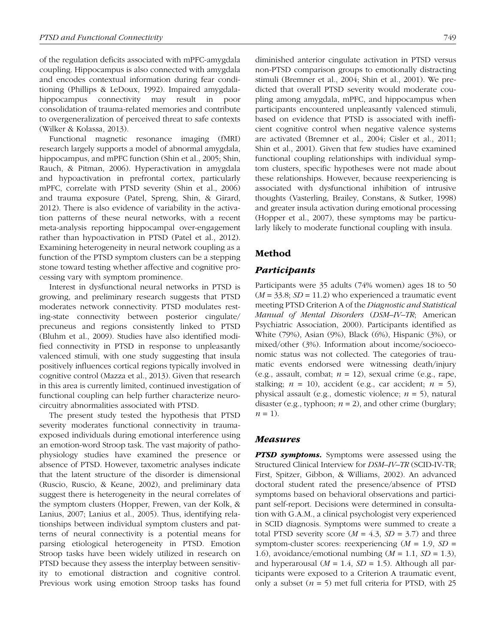of the regulation deficits associated with mPFC-amygdala coupling. Hippocampus is also connected with amygdala and encodes contextual information during fear conditioning (Phillips & LeDoux, 1992). Impaired amygdalahippocampus connectivity may result in poor consolidation of trauma-related memories and contribute to overgeneralization of perceived threat to safe contexts (Wilker & Kolassa, 2013).

Functional magnetic resonance imaging (fMRI) research largely supports a model of abnormal amygdala, hippocampus, and mPFC function (Shin et al., 2005; Shin, Rauch, & Pitman, 2006). Hyperactivation in amygdala and hypoactivation in prefrontal cortex, particularly mPFC, correlate with PTSD severity (Shin et al., 2006) and trauma exposure (Patel, Spreng, Shin, & Girard, 2012). There is also evidence of variability in the activation patterns of these neural networks, with a recent meta-analysis reporting hippocampal over-engagement rather than hypoactivation in PTSD (Patel et al., 2012). Examining heterogeneity in neural network coupling as a function of the PTSD symptom clusters can be a stepping stone toward testing whether affective and cognitive processing vary with symptom prominence.

Interest in dysfunctional neural networks in PTSD is growing, and preliminary research suggests that PTSD moderates network connectivity. PTSD modulates resting-state connectivity between posterior cingulate/ precuneus and regions consistently linked to PTSD (Bluhm et al., 2009). Studies have also identified modified connectivity in PTSD in response to unpleasantly valenced stimuli, with one study suggesting that insula positively influences cortical regions typically involved in cognitive control (Mazza et al., 2013). Given that research in this area is currently limited, continued investigation of functional coupling can help further characterize neurocircuitry abnormalities associated with PTSD.

The present study tested the hypothesis that PTSD severity moderates functional connectivity in traumaexposed individuals during emotional interference using an emotion-word Stroop task. The vast majority of pathophysiology studies have examined the presence or absence of PTSD. However, taxometric analyses indicate that the latent structure of the disorder is dimensional (Ruscio, Ruscio, & Keane, 2002), and preliminary data suggest there is heterogeneity in the neural correlates of the symptom clusters (Hopper, Frewen, van der Kolk, & Lanius, 2007; Lanius et al., 2005). Thus, identifying relationships between individual symptom clusters and patterns of neural connectivity is a potential means for parsing etiological heterogeneity in PTSD. Emotion Stroop tasks have been widely utilized in research on PTSD because they assess the interplay between sensitivity to emotional distraction and cognitive control. Previous work using emotion Stroop tasks has found

diminished anterior cingulate activation in PTSD versus non-PTSD comparison groups to emotionally distracting stimuli (Bremner et al., 2004; Shin et al., 2001). We predicted that overall PTSD severity would moderate coupling among amygdala, mPFC, and hippocampus when participants encountered unpleasantly valenced stimuli, based on evidence that PTSD is associated with inefficient cognitive control when negative valence systems are activated (Bremner et al., 2004; Cisler et al., 2011; Shin et al., 2001). Given that few studies have examined functional coupling relationships with individual symptom clusters, specific hypotheses were not made about these relationships. However, because reexperiencing is associated with dysfunctional inhibition of intrusive thoughts (Vasterling, Brailey, Constans, & Sutker, 1998) and greater insula activation during emotional processing (Hopper et al., 2007), these symptoms may be particularly likely to moderate functional coupling with insula.

## Method

### *Participants*

Participants were 35 adults (74% women) ages 18 to 50 (*M* = 33.8; *SD* = 11.2) who experienced a traumatic event meeting PTSD Criterion A of the *Diagnostic and Statistical Manual of Mental Disorders* (*DSM–IV–TR*; American Psychiatric Association, 2000). Participants identified as White (79%), Asian (9%), Black (6%), Hispanic (3%), or mixed/other (3%). Information about income/socioeconomic status was not collected. The categories of traumatic events endorsed were witnessing death/injury (e.g., assault, combat; *n* = 12), sexual crime (e.g., rape, stalking;  $n = 10$ ), accident (e.g., car accident;  $n = 5$ ), physical assault (e.g., domestic violence; *n* = 5), natural disaster (e.g., typhoon;  $n = 2$ ), and other crime (burglary;  $n = 1$ ).

### *Measures*

*PTSD symptoms.* Symptoms were assessed using the Structured Clinical Interview for *DSM–IV–TR* (SCID-IV-TR; First, Spitzer, Gibbon, & Williams, 2002). An advanced doctoral student rated the presence/absence of PTSD symptoms based on behavioral observations and participant self-report. Decisions were determined in consultation with G.A.M., a clinical psychologist very experienced in SCID diagnosis. Symptoms were summed to create a total PTSD severity score  $(M = 4.3, SD = 3.7)$  and three symptom-cluster scores: reexperiencing (*M* = 1.9, *SD* = 1.6), avoidance/emotional numbing (*M* = 1.1, *SD* = 1.3), and hyperarousal  $(M = 1.4, SD = 1.5)$ . Although all participants were exposed to a Criterion A traumatic event, only a subset  $(n = 5)$  met full criteria for PTSD, with 25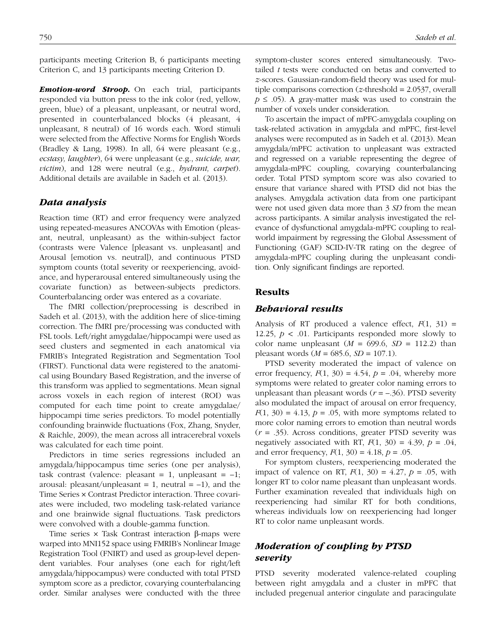participants meeting Criterion B, 6 participants meeting Criterion C, and 13 participants meeting Criterion D.

*Emotion-word Stroop.* On each trial, participants responded via button press to the ink color (red, yellow, green, blue) of a pleasant, unpleasant, or neutral word, presented in counterbalanced blocks (4 pleasant, 4 unpleasant, 8 neutral) of 16 words each. Word stimuli were selected from the Affective Norms for English Words (Bradley & Lang, 1998). In all, 64 were pleasant (e.g., *ecstasy, laughter*), 64 were unpleasant (e.g., *suicide, war, victim*), and 128 were neutral (e.g., *hydrant, carpet*). Additional details are available in Sadeh et al. (2013).

### *Data analysis*

Reaction time (RT) and error frequency were analyzed using repeated-measures ANCOVAs with Emotion (pleasant, neutral, unpleasant) as the within-subject factor (contrasts were Valence [pleasant vs. unpleasant] and Arousal [emotion vs. neutral]), and continuous PTSD symptom counts (total severity or reexperiencing, avoidance, and hyperarousal entered simultaneously using the covariate function) as between-subjects predictors. Counterbalancing order was entered as a covariate.

The fMRI collection/preprocessing is described in Sadeh et al. (2013), with the addition here of slice-timing correction. The fMRI pre/processing was conducted with FSL tools. Left/right amygdalae/hippocampi were used as seed clusters and segmented in each anatomical via FMRIB's Integrated Registration and Segmentation Tool (FIRST). Functional data were registered to the anatomical using Boundary Based Registration, and the inverse of this transform was applied to segmentations. Mean signal across voxels in each region of interest (ROI) was computed for each time point to create amygdalae/ hippocampi time series predictors. To model potentially confounding brainwide fluctuations (Fox, Zhang, Snyder, & Raichle, 2009), the mean across all intracerebral voxels was calculated for each time point.

Predictors in time series regressions included an amygdala/hippocampus time series (one per analysis), task contrast (valence: pleasant = 1, unpleasant =  $-1$ ; arousal: pleasant/unpleasant = 1, neutral =  $-1$ ), and the Time Series × Contrast Predictor interaction. Three covariates were included, two modeling task-related variance and one brainwide signal fluctuations. Task predictors were convolved with a double-gamma function.

Time series × Task Contrast interaction β-maps were warped into MNI152 space using FMRIB's Nonlinear Image Registration Tool (FNIRT) and used as group-level dependent variables. Four analyses (one each for right/left amygdala/hippocampus) were conducted with total PTSD symptom score as a predictor, covarying counterbalancing order. Similar analyses were conducted with the three symptom-cluster scores entered simultaneously. Twotailed *t* tests were conducted on betas and converted to *z*-scores. Gaussian-random-field theory was used for multiple comparisons correction (*z*-threshold = 2.0537, overall  $p \leq 0.05$ ). A gray-matter mask was used to constrain the number of voxels under consideration.

To ascertain the impact of mPFC-amygdala coupling on task-related activation in amygdala and mPFC, first-level analyses were recomputed as in Sadeh et al. (2013). Mean amygdala/mPFC activation to unpleasant was extracted and regressed on a variable representing the degree of amygdala-mPFC coupling, covarying counterbalancing order. Total PTSD symptom score was also covaried to ensure that variance shared with PTSD did not bias the analyses. Amygdala activation data from one participant were not used given data more than 3 *SD* from the mean across participants. A similar analysis investigated the relevance of dysfunctional amygdala-mPFC coupling to realworld impairment by regressing the Global Assessment of Functioning (GAF) SCID-IV-TR rating on the degree of amygdala-mPFC coupling during the unpleasant condition. Only significant findings are reported.

### Results

#### *Behavioral results*

Analysis of RT produced a valence effect,  $F(1, 31) =$ 12.25,  $p < 0.01$ . Participants responded more slowly to color name unpleasant  $(M = 699.6, SD = 112.2)$  than pleasant words (*M* = 685.6, *SD* = 107.1).

PTSD severity moderated the impact of valence on error frequency,  $F(1, 30) = 4.54$ ,  $p = .04$ , whereby more symptoms were related to greater color naming errors to unpleasant than pleasant words  $(r = -.36)$ . PTSD severity also modulated the impact of arousal on error frequency,  $F(1, 30) = 4.13$ ,  $p = .05$ , with more symptoms related to more color naming errors to emotion than neutral words (*r* = .35). Across conditions, greater PTSD severity was negatively associated with RT,  $F(1, 30) = 4.39$ ,  $p = .04$ , and error frequency,  $F(1, 30) = 4.18$ ,  $p = .05$ .

For symptom clusters, reexperiencing moderated the impact of valence on RT,  $F(1, 30) = 4.27$ ,  $p = .05$ , with longer RT to color name pleasant than unpleasant words. Further examination revealed that individuals high on reexperiencing had similar RT for both conditions, whereas individuals low on reexperiencing had longer RT to color name unpleasant words.

# *Moderation of coupling by PTSD severity*

PTSD severity moderated valence-related coupling between right amygdala and a cluster in mPFC that included pregenual anterior cingulate and paracingulate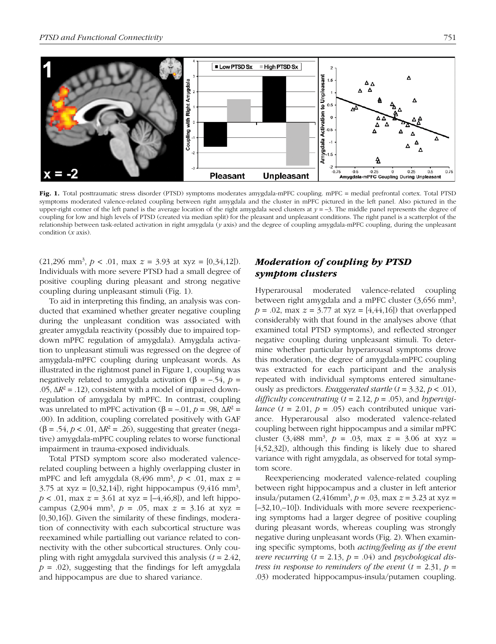

Fig. 1. Total posttraumatic stress disorder (PTSD) symptoms moderates amygdala-mPFC coupling. mPFC = medial prefrontal cortex. Total PTSD symptoms moderated valence-related coupling between right amygdala and the cluster in mPFC pictured in the left panel. Also pictured in the upper-right corner of the left panel is the average location of the right amygdala seed clusters at  $y = -3$ . The middle panel represents the degree of coupling for low and high levels of PTSD (created via median split) for the pleasant and unpleasant conditions. The right panel is a scatterplot of the relationship between task-related activation in right amygdala (*y* axis) and the degree of coupling amygdala-mPFC coupling, during the unpleasant condition (*x* axis).

 $(21,296 \text{ mm}^3, p < .01, \text{ max } z = 3.93 \text{ at xyz } = [0,34,12]).$ Individuals with more severe PTSD had a small degree of positive coupling during pleasant and strong negative coupling during unpleasant stimuli (Fig. 1).

To aid in interpreting this finding, an analysis was conducted that examined whether greater negative coupling during the unpleasant condition was associated with greater amygdala reactivity (possibly due to impaired topdown mPFC regulation of amygdala). Amygdala activation to unpleasant stimuli was regressed on the degree of amygdala-mPFC coupling during unpleasant words. As illustrated in the rightmost panel in Figure 1, coupling was negatively related to amygdala activation (β =  $-.54, p =$ .05,  $\Delta R^2$  = .12), consistent with a model of impaired downregulation of amygdala by mPFC. In contrast, coupling was unrelated to mPFC activation  $(\beta = -.01, p = .98, \Delta R^2 =$ .00). In addition, coupling correlated positively with GAF ( $\beta$  = .54,  $p < .01$ ,  $\Delta R^2$  = .26), suggesting that greater (negative) amygdala-mPFC coupling relates to worse functional impairment in trauma-exposed individuals.

Total PTSD symptom score also moderated valencerelated coupling between a highly overlapping cluster in mPFC and left amygdala  $(8,496 \text{ mm}^3, p < .01, \text{ max } z =$ 3.75 at xyz =  $[0,32,14]$ , right hippocampus  $(9,416 \text{ mm}^3)$ ,  $p < .01$ , max  $z = 3.61$  at xyz =  $[-4, 46, 8]$ ), and left hippocampus  $(2,904 \text{ mm}^3, p = .05, \text{ max } z = 3.16 \text{ at xyz } =$ [0,30,16]). Given the similarity of these findings, moderation of connectivity with each subcortical structure was reexamined while partialling out variance related to connectivity with the other subcortical structures. Only coupling with right amygdala survived this analysis (*t* = 2.42,  $p = .02$ ), suggesting that the findings for left amygdala and hippocampus are due to shared variance.

# *Moderation of coupling by PTSD symptom clusters*

Hyperarousal moderated valence-related coupling between right amygdala and a mPFC cluster  $(3,656 \text{ mm}^3)$ ,  $p = .02$ , max  $z = 3.77$  at xyz = [4,44,16]) that overlapped considerably with that found in the analyses above (that examined total PTSD symptoms), and reflected stronger negative coupling during unpleasant stimuli. To determine whether particular hyperarousal symptoms drove this moderation, the degree of amygdala-mPFC coupling was extracted for each participant and the analysis repeated with individual symptoms entered simultaneously as predictors. *Exaggerated startle* (*t* = 3.32, *p* < .01), *difficulty concentrating*  $(t = 2.12, p = .05)$ , and *hypervigilance*  $(t = 2.01, p = .05)$  each contributed unique variance. Hyperarousal also moderated valence-related coupling between right hippocampus and a similar mPFC cluster  $(3,488 \text{ mm}^3, p = .03, \text{ max } z = 3.06 \text{ at xyz } =$ [4,52,32]), although this finding is likely due to shared variance with right amygdala, as observed for total symptom score.

Reexperiencing moderated valence-related coupling between right hippocampus and a cluster in left anterior insula/putamen  $(2,416$ mm<sup>3</sup>,  $p = .03$ , max  $z = 3.23$  at xyz = [–32,10,–10]). Individuals with more severe reexperiencing symptoms had a larger degree of positive coupling during pleasant words, whereas coupling was strongly negative during unpleasant words (Fig. 2). When examining specific symptoms, both *acting/feeling as if the event were recurring* (*t* = 2.13, *p* = .04) and *psychological distress in response to reminders of the event*  $(t = 2.31, p =$ .03) moderated hippocampus-insula/putamen coupling.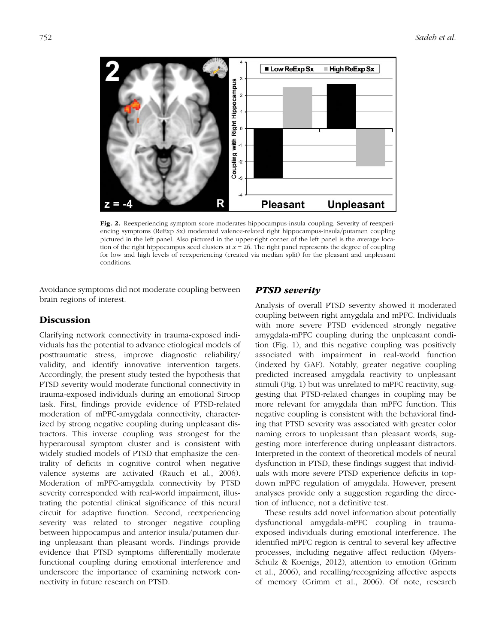

Fig. 2. Reexperiencing symptom score moderates hippocampus-insula coupling. Severity of reexperiencing symptoms (ReExp Sx) moderated valence-related right hippocampus-insula/putamen coupling pictured in the left panel. Also pictured in the upper-right corner of the left panel is the average location of the right hippocampus seed clusters at *x* = 26. The right panel represents the degree of coupling for low and high levels of reexperiencing (created via median split) for the pleasant and unpleasant conditions.

Avoidance symptoms did not moderate coupling between brain regions of interest.

### **Discussion**

Clarifying network connectivity in trauma-exposed individuals has the potential to advance etiological models of posttraumatic stress, improve diagnostic reliability/ validity, and identify innovative intervention targets. Accordingly, the present study tested the hypothesis that PTSD severity would moderate functional connectivity in trauma-exposed individuals during an emotional Stroop task. First, findings provide evidence of PTSD-related moderation of mPFC-amygdala connectivity, characterized by strong negative coupling during unpleasant distractors. This inverse coupling was strongest for the hyperarousal symptom cluster and is consistent with widely studied models of PTSD that emphasize the centrality of deficits in cognitive control when negative valence systems are activated (Rauch et al., 2006). Moderation of mPFC-amygdala connectivity by PTSD severity corresponded with real-world impairment, illustrating the potential clinical significance of this neural circuit for adaptive function. Second, reexperiencing severity was related to stronger negative coupling between hippocampus and anterior insula/putamen during unpleasant than pleasant words. Findings provide evidence that PTSD symptoms differentially moderate functional coupling during emotional interference and underscore the importance of examining network connectivity in future research on PTSD.

### *PTSD severity*

Analysis of overall PTSD severity showed it moderated coupling between right amygdala and mPFC. Individuals with more severe PTSD evidenced strongly negative amygdala-mPFC coupling during the unpleasant condition (Fig. 1), and this negative coupling was positively associated with impairment in real-world function (indexed by GAF). Notably, greater negative coupling predicted increased amygdala reactivity to unpleasant stimuli (Fig. 1) but was unrelated to mPFC reactivity, suggesting that PTSD-related changes in coupling may be more relevant for amygdala than mPFC function. This negative coupling is consistent with the behavioral finding that PTSD severity was associated with greater color naming errors to unpleasant than pleasant words, suggesting more interference during unpleasant distractors. Interpreted in the context of theoretical models of neural dysfunction in PTSD, these findings suggest that individuals with more severe PTSD experience deficits in topdown mPFC regulation of amygdala. However, present analyses provide only a suggestion regarding the direction of influence, not a definitive test.

These results add novel information about potentially dysfunctional amygdala-mPFC coupling in traumaexposed individuals during emotional interference. The identified mPFC region is central to several key affective processes, including negative affect reduction (Myers-Schulz & Koenigs, 2012), attention to emotion (Grimm et al., 2006), and recalling/recognizing affective aspects of memory (Grimm et al., 2006). Of note, research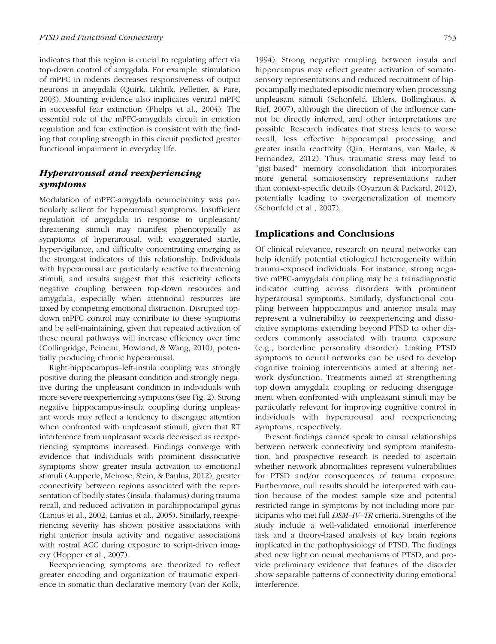indicates that this region is crucial to regulating affect via top-down control of amygdala. For example, stimulation of mPFC in rodents decreases responsiveness of output neurons in amygdala (Quirk, Likhtik, Pelletier, & Pare, 2003). Mounting evidence also implicates ventral mPFC in successful fear extinction (Phelps et al., 2004). The essential role of the mPFC-amygdala circuit in emotion regulation and fear extinction is consistent with the finding that coupling strength in this circuit predicted greater functional impairment in everyday life.

# *Hyperarousal and reexperiencing symptoms*

Modulation of mPFC-amygdala neurocircuitry was particularly salient for hyperarousal symptoms. Insufficient regulation of amygdala in response to unpleasant/ threatening stimuli may manifest phenotypically as symptoms of hyperarousal, with exaggerated startle, hypervigilance, and difficulty concentrating emerging as the strongest indicators of this relationship. Individuals with hyperarousal are particularly reactive to threatening stimuli, and results suggest that this reactivity reflects negative coupling between top-down resources and amygdala, especially when attentional resources are taxed by competing emotional distraction. Disrupted topdown mPFC control may contribute to these symptoms and be self-maintaining, given that repeated activation of these neural pathways will increase efficiency over time (Collingridge, Peineau, Howland, & Wang, 2010), potentially producing chronic hyperarousal.

Right-hippocampus–left-insula coupling was strongly positive during the pleasant condition and strongly negative during the unpleasant condition in individuals with more severe reexperiencing symptoms (see Fig. 2). Strong negative hippocampus-insula coupling during unpleasant words may reflect a tendency to disengage attention when confronted with unpleasant stimuli, given that RT interference from unpleasant words decreased as reexperiencing symptoms increased. Findings converge with evidence that individuals with prominent dissociative symptoms show greater insula activation to emotional stimuli (Aupperle, Melrose, Stein, & Paulus, 2012), greater connectivity between regions associated with the representation of bodily states (insula, thalamus) during trauma recall, and reduced activation in parahippocampal gyrus (Lanius et al., 2002; Lanius et al., 2005). Similarly, reexperiencing severity has shown positive associations with right anterior insula activity and negative associations with rostral ACC during exposure to script-driven imagery (Hopper et al., 2007).

Reexperiencing symptoms are theorized to reflect greater encoding and organization of traumatic experience in somatic than declarative memory (van der Kolk,

1994). Strong negative coupling between insula and hippocampus may reflect greater activation of somatosensory representations and reduced recruitment of hippocampally mediated episodic memory when processing unpleasant stimuli (Schonfeld, Ehlers, Bollinghaus, & Rief, 2007), although the direction of the influence cannot be directly inferred, and other interpretations are possible. Research indicates that stress leads to worse recall, less effective hippocampal processing, and greater insula reactivity (Qin, Hermans, van Marle, & Fernandez, 2012). Thus, traumatic stress may lead to "gist-based" memory consolidation that incorporates more general somatosensory representations rather than context-specific details (Oyarzun & Packard, 2012), potentially leading to overgeneralization of memory (Schonfeld et al., 2007).

## Implications and Conclusions

Of clinical relevance, research on neural networks can help identify potential etiological heterogeneity within trauma-exposed individuals. For instance, strong negative mPFC-amygdala coupling may be a transdiagnostic indicator cutting across disorders with prominent hyperarousal symptoms. Similarly, dysfunctional coupling between hippocampus and anterior insula may represent a vulnerability to reexperiencing and dissociative symptoms extending beyond PTSD to other disorders commonly associated with trauma exposure (e.g., borderline personality disorder). Linking PTSD symptoms to neural networks can be used to develop cognitive training interventions aimed at altering network dysfunction. Treatments aimed at strengthening top-down amygdala coupling or reducing disengagement when confronted with unpleasant stimuli may be particularly relevant for improving cognitive control in individuals with hyperarousal and reexperiencing symptoms, respectively.

Present findings cannot speak to causal relationships between network connectivity and symptom manifestation, and prospective research is needed to ascertain whether network abnormalities represent vulnerabilities for PTSD and/or consequences of trauma exposure. Furthermore, null results should be interpreted with caution because of the modest sample size and potential restricted range in symptoms by not including more participants who met full *DSM–IV–TR* criteria. Strengths of the study include a well-validated emotional interference task and a theory-based analysis of key brain regions implicated in the pathophysiology of PTSD. The findings shed new light on neural mechanisms of PTSD, and provide preliminary evidence that features of the disorder show separable patterns of connectivity during emotional interference.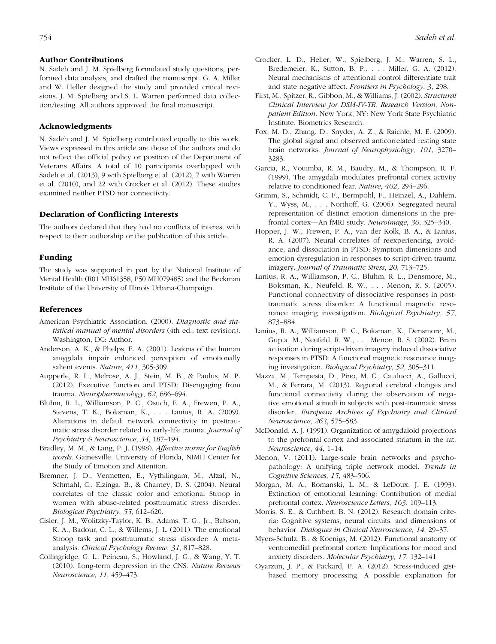#### Author Contributions

N. Sadeh and J. M. Spielberg formulated study questions, performed data analysis, and drafted the manuscript. G. A. Miller and W. Heller designed the study and provided critical revisions. J. M. Spielberg and S. L. Warren performed data collection/testing. All authors approved the final manuscript.

### Acknowledgments

N. Sadeh and J. M. Spielberg contributed equally to this work. Views expressed in this article are those of the authors and do not reflect the official policy or position of the Department of Veterans Affairs. A total of 10 participants overlapped with Sadeh et al. (2013), 9 with Spielberg et al. (2012), 7 with Warren et al. (2010), and 22 with Crocker et al. (2012). These studies examined neither PTSD nor connectivity.

### Declaration of Conflicting Interests

The authors declared that they had no conflicts of interest with respect to their authorship or the publication of this article.

#### Funding

The study was supported in part by the National Institute of Mental Health (R01 MH61358, P50 MH079485) and the Beckman Institute of the University of Illinois Urbana-Champaign.

### **References**

- American Psychiatric Association. (2000). *Diagnostic and statistical manual of mental disorders* (4th ed., text revision). Washington, DC: Author.
- Anderson, A. K., & Phelps, E. A. (2001). Lesions of the human amygdala impair enhanced perception of emotionally salient events. *Nature*, *411*, 305-309.
- Aupperle, R. L., Melrose, A. J., Stein, M. B., & Paulus, M. P. (2012). Executive function and PTSD: Disengaging from trauma. *Neuropharmacology*, *62*, 686–694.
- Bluhm, R. L., Williamson, P. C., Osuch, E. A., Frewen, P. A., Stevens, T. K., Boksman, K., . . . Lanius, R. A. (2009). Alterations in default network connectivity in posttraumatic stress disorder related to early-life trauma. *Journal of Psychiatry & Neuroscience*, *34*, 187–194.
- Bradley, M. M., & Lang, P. J. (1998). *Affective norms for English words*. Gainesville: University of Florida, NIMH Center for the Study of Emotion and Attention.
- Bremner, J. D., Vermetten, E., Vythilingam, M., Afzal, N., Schmahl, C., Elzinga, B., & Charney, D. S. (2004). Neural correlates of the classic color and emotional Stroop in women with abuse-related posttraumatic stress disorder. *Biological Psychiatry*, *55*, 612–620.
- Cisler, J. M., Wolitzky-Taylor, K. B., Adams, T. G., Jr., Babson, K. A., Badour, C. L., & Willems, J. L. (2011). The emotional Stroop task and posttraumatic stress disorder: A metaanalysis. *Clinical Psychology Review*, *31*, 817–828.
- Collingridge, G. L., Peineau, S., Howland, J. G., & Wang, Y. T. (2010). Long-term depression in the CNS. *Nature Reviews Neuroscience*, *11*, 459–473.
- Crocker, L. D., Heller, W., Spielberg, J. M., Warren, S. L., Bredemeier, K., Sutton, B. P., . . . Miller, G. A. (2012). Neural mechanisms of attentional control differentiate trait and state negative affect. *Frontiers in Psychology*, *3*, 298.
- First, M., Spitzer, R., Gibbon, M., & Williams, J. (2002). *Structural Clinical Interview for DSM-IV-TR, Research Version, Nonpatient Edition*. New York, NY: New York State Psychiatric Institute, Biometrics Research.
- Fox, M. D., Zhang, D., Snyder, A. Z., & Raichle, M. E. (2009). The global signal and observed anticorrelated resting state brain networks. *Journal of Neurophysiology*, *101*, 3270– 3283.
- Garcia, R., Vouimba, R. M., Baudry, M., & Thompson, R. F. (1999). The amygdala modulates prefrontal cortex activity relative to conditioned fear. *Nature*, *402*, 294–296.
- Grimm, S., Schmidt, C. F., Bermpohl, F., Heinzel, A., Dahlem, Y., Wyss, M., . . . Northoff, G. (2006). Segregated neural representation of distinct emotion dimensions in the prefrontal cortex—An fMRI study. *Neuroimage*, *30*, 325–340.
- Hopper, J. W., Frewen, P. A., van der Kolk, B. A., & Lanius, R. A. (2007). Neural correlates of reexperiencing, avoidance, and dissociation in PTSD: Symptom dimensions and emotion dysregulation in responses to script-driven trauma imagery. *Journal of Traumatic Stress*, *20*, 713–725.
- Lanius, R. A., Williamson, P. C., Bluhm, R. L., Densmore, M., Boksman, K., Neufeld, R. W., . . . Menon, R. S. (2005). Functional connectivity of dissociative responses in posttraumatic stress disorder: A functional magnetic resonance imaging investigation. *Biological Psychiatry*, *57*, 873–884.
- Lanius, R. A., Williamson, P. C., Boksman, K., Densmore, M., Gupta, M., Neufeld, R. W., . . . Menon, R. S. (2002). Brain activation during script-driven imagery induced dissociative responses in PTSD: A functional magnetic resonance imaging investigation. *Biological Psychiatry*, *52*, 305–311.
- Mazza, M., Tempesta, D., Pino, M. C., Catalucci, A., Gallucci, M., & Ferrara, M. (2013). Regional cerebral changes and functional connectivity during the observation of negative emotional stimuli in subjects with post-traumatic stress disorder. *European Archives of Psychiatry and Clinical Neuroscience*, *263*, 575–583.
- McDonald, A. J. (1991). Organization of amygdaloid projections to the prefrontal cortex and associated striatum in the rat. *Neuroscience*, *44*, 1–14.
- Menon, V. (2011). Large-scale brain networks and psychopathology: A unifying triple network model. *Trends in Cognitive Sciences*, *15*, 483–506.
- Morgan, M. A., Romanski, L. M., & LeDoux, J. E. (1993). Extinction of emotional learning: Contribution of medial prefrontal cortex. *Neuroscience Letters*, *163*, 109–113.
- Morris, S. E., & Cuthbert, B. N. (2012). Research domain criteria: Cognitive systems, neural circuits, and dimensions of behavior. *Dialogues in Clinical Neuroscience*, *14*, 29–37.
- Myers-Schulz, B., & Koenigs, M. (2012). Functional anatomy of ventromedial prefrontal cortex: Implications for mood and anxiety disorders. *Molecular Psychiatry*, *17*, 132–141.
- Oyarzun, J. P., & Packard, P. A. (2012). Stress-induced gistbased memory processing: A possible explanation for